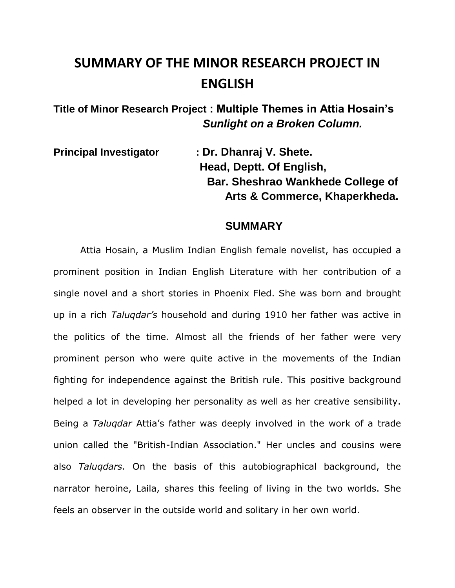## **SUMMARY OF THE MINOR RESEARCH PROJECT IN ENGLISH**

**Title of Minor Research Project : Multiple Themes in Attia Hosain's** *Sunlight on a Broken Column.*

**Principal Investigator : Dr. Dhanraj V. Shete. Head, Deptt. Of English, Bar. Sheshrao Wankhede College of Arts & Commerce, Khaperkheda.**

## **SUMMARY**

Attia Hosain, a Muslim Indian English female novelist, has occupied a prominent position in Indian English Literature with her contribution of a single novel and a short stories in Phoenix Fled. She was born and brought up in a rich *Taluqdar's* household and during 1910 her father was active in the politics of the time. Almost all the friends of her father were very prominent person who were quite active in the movements of the Indian fighting for independence against the British rule. This positive background helped a lot in developing her personality as well as her creative sensibility. Being a *Taluqdar* Attia's father was deeply involved in the work of a trade union called the "British-Indian Association." Her uncles and cousins were also *Taluqdars.* On the basis of this autobiographical background, the narrator heroine, Laila, shares this feeling of living in the two worlds. She feels an observer in the outside world and solitary in her own world.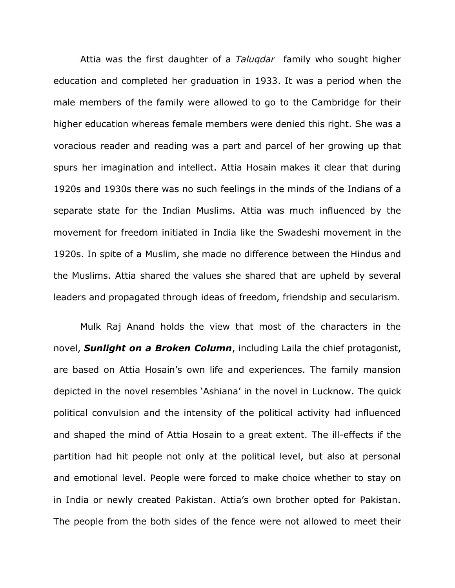Attia was the first daughter of a *Taluqdar* family who sought higher education and completed her graduation in 1933. It was a period when the male members of the family were allowed to go to the Cambridge for their higher education whereas female members were denied this right. She was a voracious reader and reading was a part and parcel of her growing up that spurs her imagination and intellect. Attia Hosain makes it clear that during 1920s and 1930s there was no such feelings in the minds of the Indians of a separate state for the Indian Muslims. Attia was much influenced by the movement for freedom initiated in India like the Swadeshi movement in the 1920s. In spite of a Muslim, she made no difference between the Hindus and the Muslims. Attia shared the values she shared that are upheld by several leaders and propagated through ideas of freedom, friendship and secularism.

Mulk Raj Anand holds the view that most of the characters in the novel, *Sunlight on a Broken Column*, including Laila the chief protagonist, are based on Attia Hosain's own life and experiences. The family mansion depicted in the novel resembles 'Ashiana' in the novel in Lucknow. The quick political convulsion and the intensity of the political activity had influenced and shaped the mind of Attia Hosain to a great extent. The ill-effects if the partition had hit people not only at the political level, but also at personal and emotional level. People were forced to make choice whether to stay on in India or newly created Pakistan. Attia's own brother opted for Pakistan. The people from the both sides of the fence were not allowed to meet their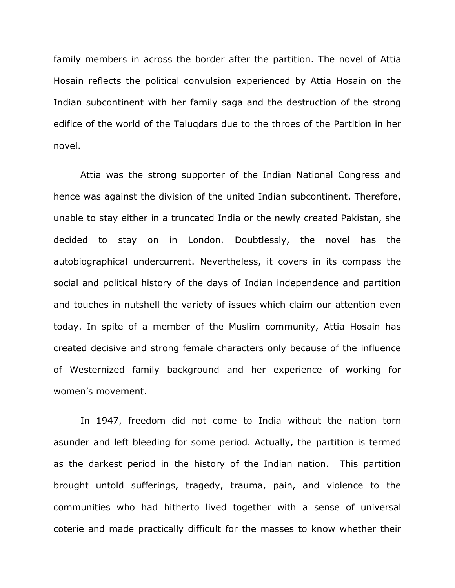family members in across the border after the partition. The novel of Attia Hosain reflects the political convulsion experienced by Attia Hosain on the Indian subcontinent with her family saga and the destruction of the strong edifice of the world of the Taluqdars due to the throes of the Partition in her novel.

Attia was the strong supporter of the Indian National Congress and hence was against the division of the united Indian subcontinent. Therefore, unable to stay either in a truncated India or the newly created Pakistan, she decided to stay on in London. Doubtlessly, the novel has the autobiographical undercurrent. Nevertheless, it covers in its compass the social and political history of the days of Indian independence and partition and touches in nutshell the variety of issues which claim our attention even today. In spite of a member of the Muslim community, Attia Hosain has created decisive and strong female characters only because of the influence of Westernized family background and her experience of working for women's movement.

In 1947, freedom did not come to India without the nation torn asunder and left bleeding for some period. Actually, the partition is termed as the darkest period in the history of the Indian nation. This partition brought untold sufferings, tragedy, trauma, pain, and violence to the communities who had hitherto lived together with a sense of universal coterie and made practically difficult for the masses to know whether their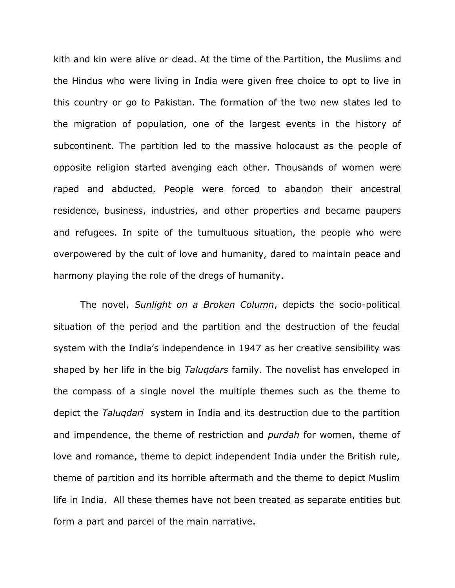kith and kin were alive or dead. At the time of the Partition, the Muslims and the Hindus who were living in India were given free choice to opt to live in this country or go to Pakistan. The formation of the two new states led to the migration of population, one of the largest events in the history of subcontinent. The partition led to the massive holocaust as the people of opposite religion started avenging each other. Thousands of women were raped and abducted. People were forced to abandon their ancestral residence, business, industries, and other properties and became paupers and refugees. In spite of the tumultuous situation, the people who were overpowered by the cult of love and humanity, dared to maintain peace and harmony playing the role of the dregs of humanity.

The novel, *Sunlight on a Broken Column*, depicts the socio-political situation of the period and the partition and the destruction of the feudal system with the India's independence in 1947 as her creative sensibility was shaped by her life in the big *Taluqdars* family. The novelist has enveloped in the compass of a single novel the multiple themes such as the theme to depict the *Taluqdari* system in India and its destruction due to the partition and impendence, the theme of restriction and *purdah* for women, theme of love and romance, theme to depict independent India under the British rule, theme of partition and its horrible aftermath and the theme to depict Muslim life in India. All these themes have not been treated as separate entities but form a part and parcel of the main narrative.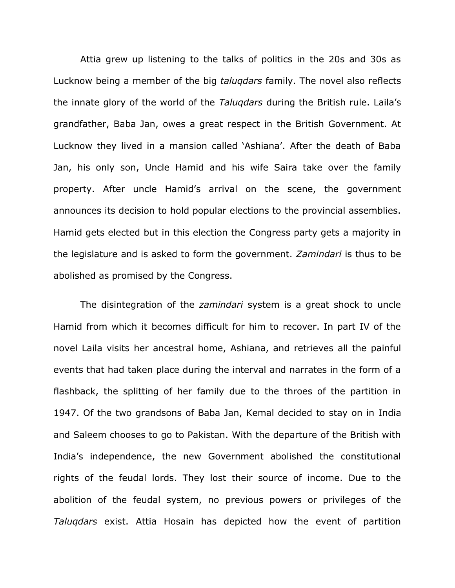Attia grew up listening to the talks of politics in the 20s and 30s as Lucknow being a member of the big *taluqdars* family. The novel also reflects the innate glory of the world of the *Taluqdars* during the British rule. Laila's grandfather, Baba Jan, owes a great respect in the British Government. At Lucknow they lived in a mansion called 'Ashiana'. After the death of Baba Jan, his only son, Uncle Hamid and his wife Saira take over the family property. After uncle Hamid's arrival on the scene, the government announces its decision to hold popular elections to the provincial assemblies. Hamid gets elected but in this election the Congress party gets a majority in the legislature and is asked to form the government. *Zamindari* is thus to be abolished as promised by the Congress.

The disintegration of the *zamindari* system is a great shock to uncle Hamid from which it becomes difficult for him to recover. In part IV of the novel Laila visits her ancestral home, Ashiana, and retrieves all the painful events that had taken place during the interval and narrates in the form of a flashback, the splitting of her family due to the throes of the partition in 1947. Of the two grandsons of Baba Jan, Kemal decided to stay on in India and Saleem chooses to go to Pakistan. With the departure of the British with India's independence, the new Government abolished the constitutional rights of the feudal lords. They lost their source of income. Due to the abolition of the feudal system, no previous powers or privileges of the *Taluqdars* exist. Attia Hosain has depicted how the event of partition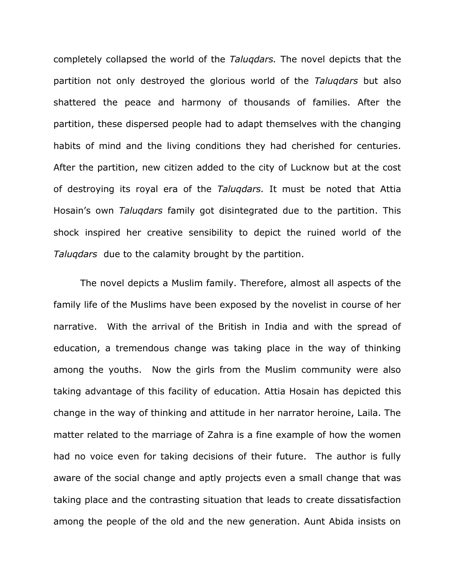completely collapsed the world of the *Taluqdars.* The novel depicts that the partition not only destroyed the glorious world of the *Taluqdars* but also shattered the peace and harmony of thousands of families. After the partition, these dispersed people had to adapt themselves with the changing habits of mind and the living conditions they had cherished for centuries. After the partition, new citizen added to the city of Lucknow but at the cost of destroying its royal era of the *Taluqdars.* It must be noted that Attia Hosain's own *Taluqdars* family got disintegrated due to the partition. This shock inspired her creative sensibility to depict the ruined world of the *Taluqdars* due to the calamity brought by the partition.

The novel depicts a Muslim family. Therefore, almost all aspects of the family life of the Muslims have been exposed by the novelist in course of her narrative. With the arrival of the British in India and with the spread of education, a tremendous change was taking place in the way of thinking among the youths. Now the girls from the Muslim community were also taking advantage of this facility of education. Attia Hosain has depicted this change in the way of thinking and attitude in her narrator heroine, Laila. The matter related to the marriage of Zahra is a fine example of how the women had no voice even for taking decisions of their future. The author is fully aware of the social change and aptly projects even a small change that was taking place and the contrasting situation that leads to create dissatisfaction among the people of the old and the new generation. Aunt Abida insists on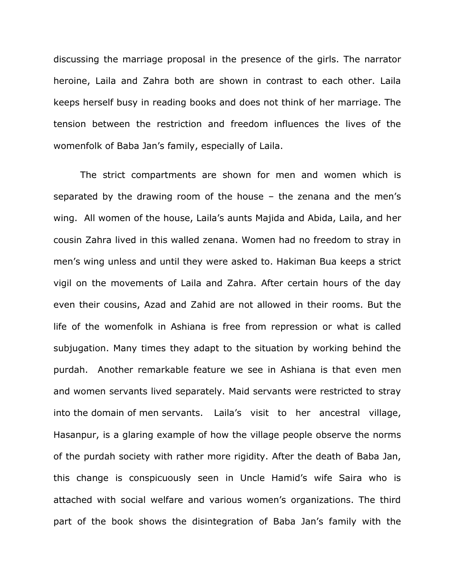discussing the marriage proposal in the presence of the girls. The narrator heroine, Laila and Zahra both are shown in contrast to each other. Laila keeps herself busy in reading books and does not think of her marriage. The tension between the restriction and freedom influences the lives of the womenfolk of Baba Jan's family, especially of Laila.

The strict compartments are shown for men and women which is separated by the drawing room of the house – the zenana and the men's wing. All women of the house, Laila's aunts Majida and Abida, Laila, and her cousin Zahra lived in this walled zenana. Women had no freedom to stray in men's wing unless and until they were asked to. Hakiman Bua keeps a strict vigil on the movements of Laila and Zahra. After certain hours of the day even their cousins, Azad and Zahid are not allowed in their rooms. But the life of the womenfolk in Ashiana is free from repression or what is called subjugation. Many times they adapt to the situation by working behind the purdah. Another remarkable feature we see in Ashiana is that even men and women servants lived separately. Maid servants were restricted to stray into the domain of men servants. Laila's visit to her ancestral village, Hasanpur, is a glaring example of how the village people observe the norms of the purdah society with rather more rigidity. After the death of Baba Jan, this change is conspicuously seen in Uncle Hamid's wife Saira who is attached with social welfare and various women's organizations. The third part of the book shows the disintegration of Baba Jan's family with the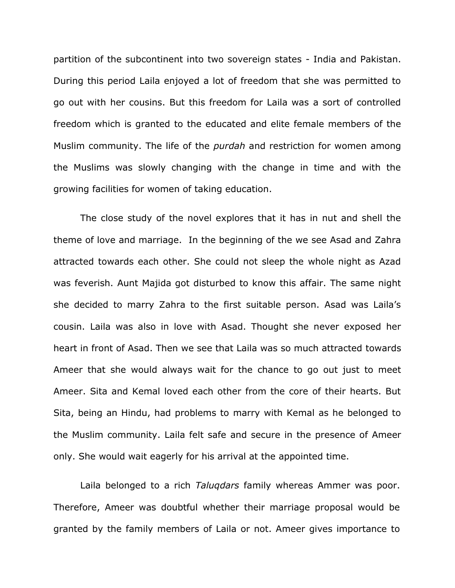partition of the subcontinent into two sovereign states - India and Pakistan. During this period Laila enjoyed a lot of freedom that she was permitted to go out with her cousins. But this freedom for Laila was a sort of controlled freedom which is granted to the educated and elite female members of the Muslim community. The life of the *purdah* and restriction for women among the Muslims was slowly changing with the change in time and with the growing facilities for women of taking education.

The close study of the novel explores that it has in nut and shell the theme of love and marriage. In the beginning of the we see Asad and Zahra attracted towards each other. She could not sleep the whole night as Azad was feverish. Aunt Majida got disturbed to know this affair. The same night she decided to marry Zahra to the first suitable person. Asad was Laila's cousin. Laila was also in love with Asad. Thought she never exposed her heart in front of Asad. Then we see that Laila was so much attracted towards Ameer that she would always wait for the chance to go out just to meet Ameer. Sita and Kemal loved each other from the core of their hearts. But Sita, being an Hindu, had problems to marry with Kemal as he belonged to the Muslim community. Laila felt safe and secure in the presence of Ameer only. She would wait eagerly for his arrival at the appointed time.

Laila belonged to a rich *Taluqdars* family whereas Ammer was poor. Therefore, Ameer was doubtful whether their marriage proposal would be granted by the family members of Laila or not. Ameer gives importance to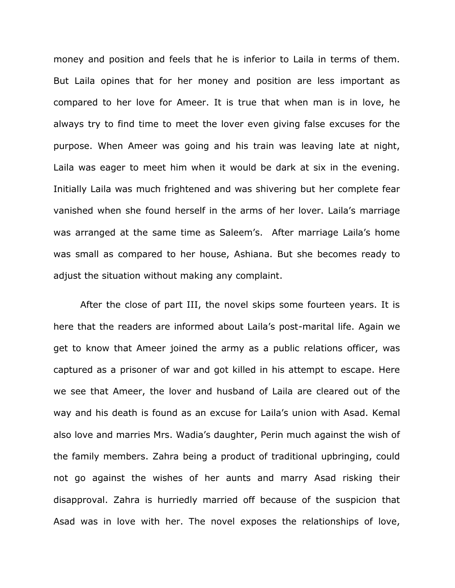money and position and feels that he is inferior to Laila in terms of them. But Laila opines that for her money and position are less important as compared to her love for Ameer. It is true that when man is in love, he always try to find time to meet the lover even giving false excuses for the purpose. When Ameer was going and his train was leaving late at night, Laila was eager to meet him when it would be dark at six in the evening. Initially Laila was much frightened and was shivering but her complete fear vanished when she found herself in the arms of her lover. Laila's marriage was arranged at the same time as Saleem's. After marriage Laila's home was small as compared to her house, Ashiana. But she becomes ready to adjust the situation without making any complaint.

After the close of part III, the novel skips some fourteen years. It is here that the readers are informed about Laila's post-marital life. Again we get to know that Ameer joined the army as a public relations officer, was captured as a prisoner of war and got killed in his attempt to escape. Here we see that Ameer, the lover and husband of Laila are cleared out of the way and his death is found as an excuse for Laila's union with Asad. Kemal also love and marries Mrs. Wadia's daughter, Perin much against the wish of the family members. Zahra being a product of traditional upbringing, could not go against the wishes of her aunts and marry Asad risking their disapproval. Zahra is hurriedly married off because of the suspicion that Asad was in love with her. The novel exposes the relationships of love,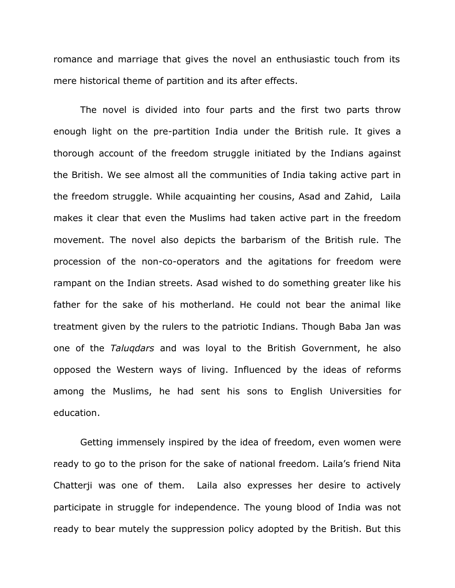romance and marriage that gives the novel an enthusiastic touch from its mere historical theme of partition and its after effects.

The novel is divided into four parts and the first two parts throw enough light on the pre-partition India under the British rule. It gives a thorough account of the freedom struggle initiated by the Indians against the British. We see almost all the communities of India taking active part in the freedom struggle. While acquainting her cousins, Asad and Zahid, Laila makes it clear that even the Muslims had taken active part in the freedom movement. The novel also depicts the barbarism of the British rule. The procession of the non-co-operators and the agitations for freedom were rampant on the Indian streets. Asad wished to do something greater like his father for the sake of his motherland. He could not bear the animal like treatment given by the rulers to the patriotic Indians. Though Baba Jan was one of the *Taluqdars* and was loyal to the British Government, he also opposed the Western ways of living. Influenced by the ideas of reforms among the Muslims, he had sent his sons to English Universities for education.

Getting immensely inspired by the idea of freedom, even women were ready to go to the prison for the sake of national freedom. Laila's friend Nita Chatterji was one of them. Laila also expresses her desire to actively participate in struggle for independence. The young blood of India was not ready to bear mutely the suppression policy adopted by the British. But this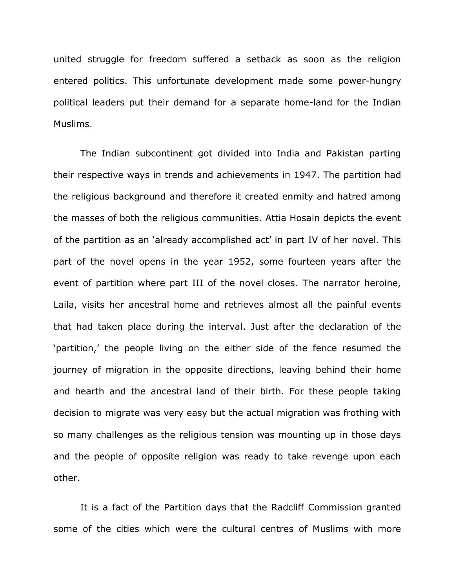united struggle for freedom suffered a setback as soon as the religion entered politics. This unfortunate development made some power-hungry political leaders put their demand for a separate home-land for the Indian Muslims.

The Indian subcontinent got divided into India and Pakistan parting their respective ways in trends and achievements in 1947. The partition had the religious background and therefore it created enmity and hatred among the masses of both the religious communities. Attia Hosain depicts the event of the partition as an 'already accomplished act' in part IV of her novel. This part of the novel opens in the year 1952, some fourteen years after the event of partition where part III of the novel closes. The narrator heroine, Laila, visits her ancestral home and retrieves almost all the painful events that had taken place during the interval. Just after the declaration of the 'partition,' the people living on the either side of the fence resumed the journey of migration in the opposite directions, leaving behind their home and hearth and the ancestral land of their birth. For these people taking decision to migrate was very easy but the actual migration was frothing with so many challenges as the religious tension was mounting up in those days and the people of opposite religion was ready to take revenge upon each other.

It is a fact of the Partition days that the Radcliff Commission granted some of the cities which were the cultural centres of Muslims with more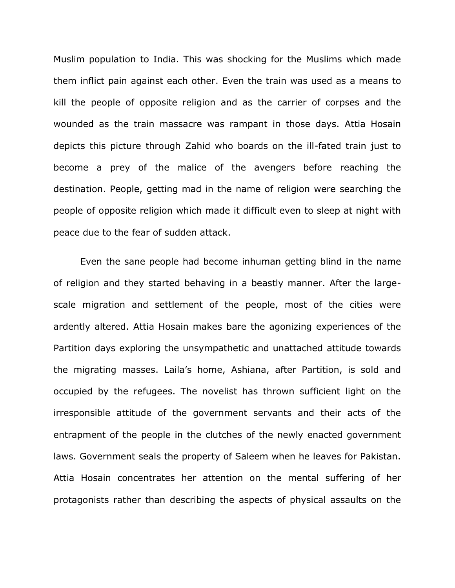Muslim population to India. This was shocking for the Muslims which made them inflict pain against each other. Even the train was used as a means to kill the people of opposite religion and as the carrier of corpses and the wounded as the train massacre was rampant in those days. Attia Hosain depicts this picture through Zahid who boards on the ill-fated train just to become a prey of the malice of the avengers before reaching the destination. People, getting mad in the name of religion were searching the people of opposite religion which made it difficult even to sleep at night with peace due to the fear of sudden attack.

Even the sane people had become inhuman getting blind in the name of religion and they started behaving in a beastly manner. After the largescale migration and settlement of the people, most of the cities were ardently altered. Attia Hosain makes bare the agonizing experiences of the Partition days exploring the unsympathetic and unattached attitude towards the migrating masses. Laila's home, Ashiana, after Partition, is sold and occupied by the refugees. The novelist has thrown sufficient light on the irresponsible attitude of the government servants and their acts of the entrapment of the people in the clutches of the newly enacted government laws. Government seals the property of Saleem when he leaves for Pakistan. Attia Hosain concentrates her attention on the mental suffering of her protagonists rather than describing the aspects of physical assaults on the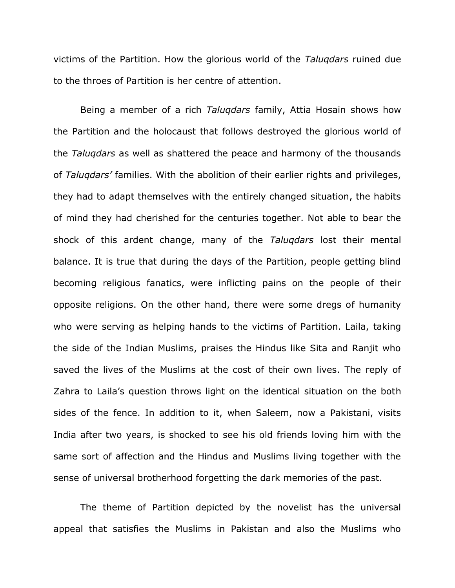victims of the Partition. How the glorious world of the *Taluqdars* ruined due to the throes of Partition is her centre of attention.

Being a member of a rich *Taluqdars* family, Attia Hosain shows how the Partition and the holocaust that follows destroyed the glorious world of the *Taluqdars* as well as shattered the peace and harmony of the thousands of *Taluqdars'* families. With the abolition of their earlier rights and privileges, they had to adapt themselves with the entirely changed situation, the habits of mind they had cherished for the centuries together. Not able to bear the shock of this ardent change, many of the *Taluqdars* lost their mental balance. It is true that during the days of the Partition, people getting blind becoming religious fanatics, were inflicting pains on the people of their opposite religions. On the other hand, there were some dregs of humanity who were serving as helping hands to the victims of Partition. Laila, taking the side of the Indian Muslims, praises the Hindus like Sita and Ranjit who saved the lives of the Muslims at the cost of their own lives. The reply of Zahra to Laila's question throws light on the identical situation on the both sides of the fence. In addition to it, when Saleem, now a Pakistani, visits India after two years, is shocked to see his old friends loving him with the same sort of affection and the Hindus and Muslims living together with the sense of universal brotherhood forgetting the dark memories of the past.

The theme of Partition depicted by the novelist has the universal appeal that satisfies the Muslims in Pakistan and also the Muslims who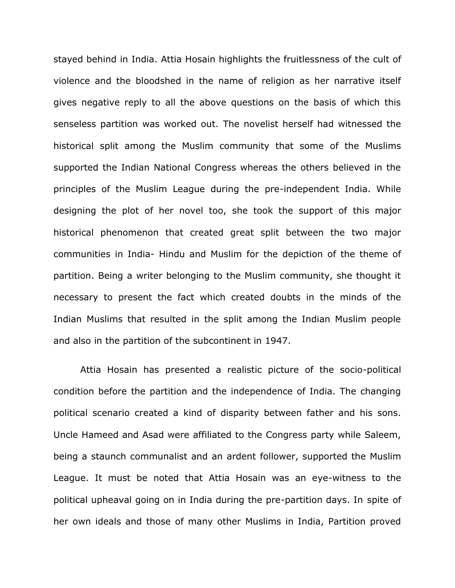stayed behind in India. Attia Hosain highlights the fruitlessness of the cult of violence and the bloodshed in the name of religion as her narrative itself gives negative reply to all the above questions on the basis of which this senseless partition was worked out. The novelist herself had witnessed the historical split among the Muslim community that some of the Muslims supported the Indian National Congress whereas the others believed in the principles of the Muslim League during the pre-independent India. While designing the plot of her novel too, she took the support of this major historical phenomenon that created great split between the two major communities in India- Hindu and Muslim for the depiction of the theme of partition. Being a writer belonging to the Muslim community, she thought it necessary to present the fact which created doubts in the minds of the Indian Muslims that resulted in the split among the Indian Muslim people and also in the partition of the subcontinent in 1947.

Attia Hosain has presented a realistic picture of the socio-political condition before the partition and the independence of India. The changing political scenario created a kind of disparity between father and his sons. Uncle Hameed and Asad were affiliated to the Congress party while Saleem, being a staunch communalist and an ardent follower, supported the Muslim League. It must be noted that Attia Hosain was an eye-witness to the political upheaval going on in India during the pre-partition days. In spite of her own ideals and those of many other Muslims in India, Partition proved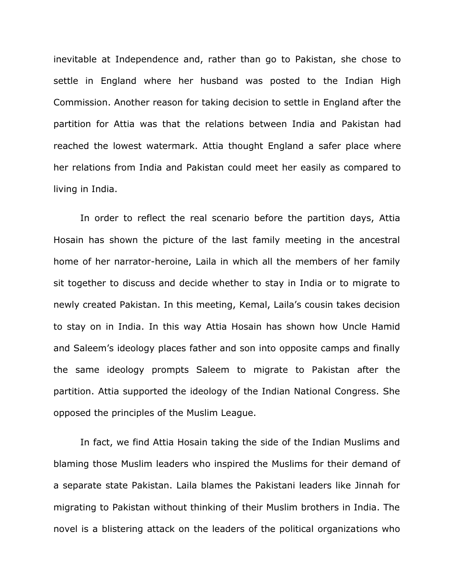inevitable at Independence and, rather than go to Pakistan, she chose to settle in England where her husband was posted to the Indian High Commission. Another reason for taking decision to settle in England after the partition for Attia was that the relations between India and Pakistan had reached the lowest watermark. Attia thought England a safer place where her relations from India and Pakistan could meet her easily as compared to living in India.

In order to reflect the real scenario before the partition days, Attia Hosain has shown the picture of the last family meeting in the ancestral home of her narrator-heroine, Laila in which all the members of her family sit together to discuss and decide whether to stay in India or to migrate to newly created Pakistan. In this meeting, Kemal, Laila's cousin takes decision to stay on in India. In this way Attia Hosain has shown how Uncle Hamid and Saleem's ideology places father and son into opposite camps and finally the same ideology prompts Saleem to migrate to Pakistan after the partition. Attia supported the ideology of the Indian National Congress. She opposed the principles of the Muslim League.

In fact, we find Attia Hosain taking the side of the Indian Muslims and blaming those Muslim leaders who inspired the Muslims for their demand of a separate state Pakistan. Laila blames the Pakistani leaders like Jinnah for migrating to Pakistan without thinking of their Muslim brothers in India. The novel is a blistering attack on the leaders of the political organizations who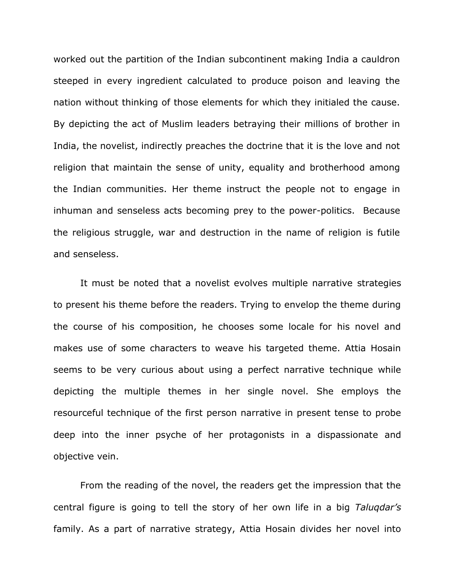worked out the partition of the Indian subcontinent making India a cauldron steeped in every ingredient calculated to produce poison and leaving the nation without thinking of those elements for which they initialed the cause. By depicting the act of Muslim leaders betraying their millions of brother in India, the novelist, indirectly preaches the doctrine that it is the love and not religion that maintain the sense of unity, equality and brotherhood among the Indian communities. Her theme instruct the people not to engage in inhuman and senseless acts becoming prey to the power-politics. Because the religious struggle, war and destruction in the name of religion is futile and senseless.

It must be noted that a novelist evolves multiple narrative strategies to present his theme before the readers. Trying to envelop the theme during the course of his composition, he chooses some locale for his novel and makes use of some characters to weave his targeted theme. Attia Hosain seems to be very curious about using a perfect narrative technique while depicting the multiple themes in her single novel. She employs the resourceful technique of the first person narrative in present tense to probe deep into the inner psyche of her protagonists in a dispassionate and objective vein.

From the reading of the novel, the readers get the impression that the central figure is going to tell the story of her own life in a big *Taluqdar's*  family. As a part of narrative strategy, Attia Hosain divides her novel into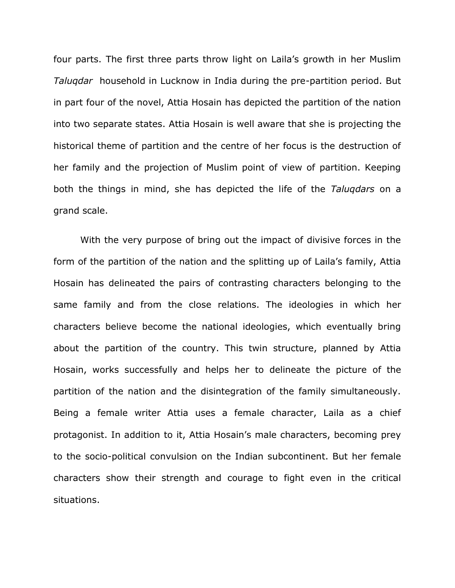four parts. The first three parts throw light on Laila's growth in her Muslim *Taluqdar* household in Lucknow in India during the pre-partition period. But in part four of the novel, Attia Hosain has depicted the partition of the nation into two separate states. Attia Hosain is well aware that she is projecting the historical theme of partition and the centre of her focus is the destruction of her family and the projection of Muslim point of view of partition. Keeping both the things in mind, she has depicted the life of the *Taluqdars* on a grand scale.

With the very purpose of bring out the impact of divisive forces in the form of the partition of the nation and the splitting up of Laila's family, Attia Hosain has delineated the pairs of contrasting characters belonging to the same family and from the close relations. The ideologies in which her characters believe become the national ideologies, which eventually bring about the partition of the country. This twin structure, planned by Attia Hosain, works successfully and helps her to delineate the picture of the partition of the nation and the disintegration of the family simultaneously. Being a female writer Attia uses a female character, Laila as a chief protagonist. In addition to it, Attia Hosain's male characters, becoming prey to the socio-political convulsion on the Indian subcontinent. But her female characters show their strength and courage to fight even in the critical situations.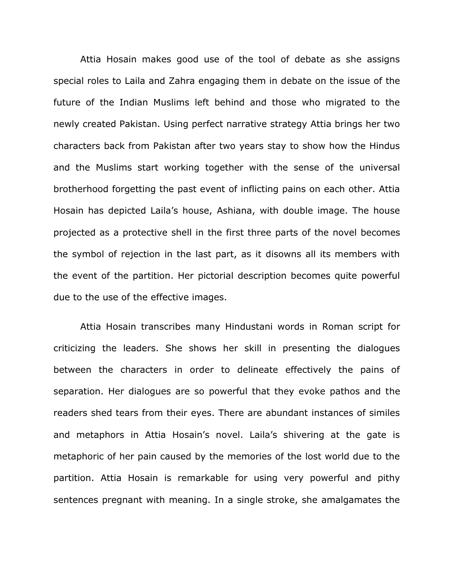Attia Hosain makes good use of the tool of debate as she assigns special roles to Laila and Zahra engaging them in debate on the issue of the future of the Indian Muslims left behind and those who migrated to the newly created Pakistan. Using perfect narrative strategy Attia brings her two characters back from Pakistan after two years stay to show how the Hindus and the Muslims start working together with the sense of the universal brotherhood forgetting the past event of inflicting pains on each other. Attia Hosain has depicted Laila's house, Ashiana, with double image. The house projected as a protective shell in the first three parts of the novel becomes the symbol of rejection in the last part, as it disowns all its members with the event of the partition. Her pictorial description becomes quite powerful due to the use of the effective images.

Attia Hosain transcribes many Hindustani words in Roman script for criticizing the leaders. She shows her skill in presenting the dialogues between the characters in order to delineate effectively the pains of separation. Her dialogues are so powerful that they evoke pathos and the readers shed tears from their eyes. There are abundant instances of similes and metaphors in Attia Hosain's novel. Laila's shivering at the gate is metaphoric of her pain caused by the memories of the lost world due to the partition. Attia Hosain is remarkable for using very powerful and pithy sentences pregnant with meaning. In a single stroke, she amalgamates the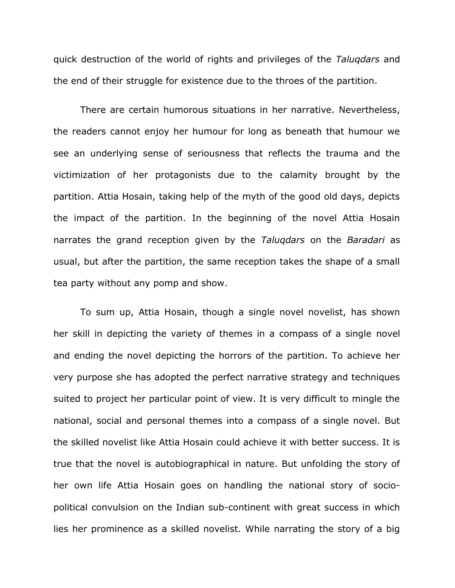quick destruction of the world of rights and privileges of the *Taluqdars* and the end of their struggle for existence due to the throes of the partition.

There are certain humorous situations in her narrative. Nevertheless, the readers cannot enjoy her humour for long as beneath that humour we see an underlying sense of seriousness that reflects the trauma and the victimization of her protagonists due to the calamity brought by the partition. Attia Hosain, taking help of the myth of the good old days, depicts the impact of the partition. In the beginning of the novel Attia Hosain narrates the grand reception given by the *Taluqdars* on the *Baradari* as usual, but after the partition, the same reception takes the shape of a small tea party without any pomp and show.

To sum up, Attia Hosain, though a single novel novelist, has shown her skill in depicting the variety of themes in a compass of a single novel and ending the novel depicting the horrors of the partition. To achieve her very purpose she has adopted the perfect narrative strategy and techniques suited to project her particular point of view. It is very difficult to mingle the national, social and personal themes into a compass of a single novel. But the skilled novelist like Attia Hosain could achieve it with better success. It is true that the novel is autobiographical in nature. But unfolding the story of her own life Attia Hosain goes on handling the national story of sociopolitical convulsion on the Indian sub-continent with great success in which lies her prominence as a skilled novelist. While narrating the story of a big